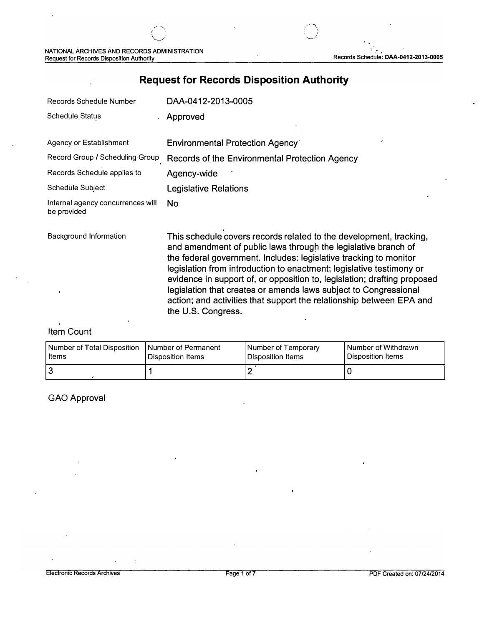# **Request for Records Disposition Authority**

| <b>Records Schedule Number</b>                   | DAA-0412-2013-0005                                                                                                                                                                                                                                                                                                                                                                                                                                                                                                              |
|--------------------------------------------------|---------------------------------------------------------------------------------------------------------------------------------------------------------------------------------------------------------------------------------------------------------------------------------------------------------------------------------------------------------------------------------------------------------------------------------------------------------------------------------------------------------------------------------|
| <b>Schedule Status</b>                           | Approved                                                                                                                                                                                                                                                                                                                                                                                                                                                                                                                        |
| Agency or Establishment                          | <b>Environmental Protection Agency</b>                                                                                                                                                                                                                                                                                                                                                                                                                                                                                          |
| Record Group / Scheduling Group                  | Records of the Environmental Protection Agency                                                                                                                                                                                                                                                                                                                                                                                                                                                                                  |
| Records Schedule applies to                      | Agency-wide                                                                                                                                                                                                                                                                                                                                                                                                                                                                                                                     |
| Schedule Subject                                 | <b>Legislative Relations</b>                                                                                                                                                                                                                                                                                                                                                                                                                                                                                                    |
| Internal agency concurrences will<br>be provided | <b>No</b>                                                                                                                                                                                                                                                                                                                                                                                                                                                                                                                       |
| <b>Background Information</b>                    | This schedule covers records related to the development, tracking,<br>and amendment of public laws through the legislative branch of<br>the federal government. Includes: legislative tracking to monitor<br>legislation from introduction to enactment; legislative testimony or<br>evidence in support of, or opposition to, legislation; drafting proposed<br>legislation that creates or amends laws subject to Congressional<br>action; and activities that support the relationship between EPA and<br>the U.S. Congress. |

#### Item Count

| Number of Total Disposition | Number of Permanent | Number of Temporary | Number of Withdrawn |
|-----------------------------|---------------------|---------------------|---------------------|
| l Items                     | Disposition Items   | l Disposition Items | Disposition Items   |
| 3                           |                     |                     |                     |

### GAO Approval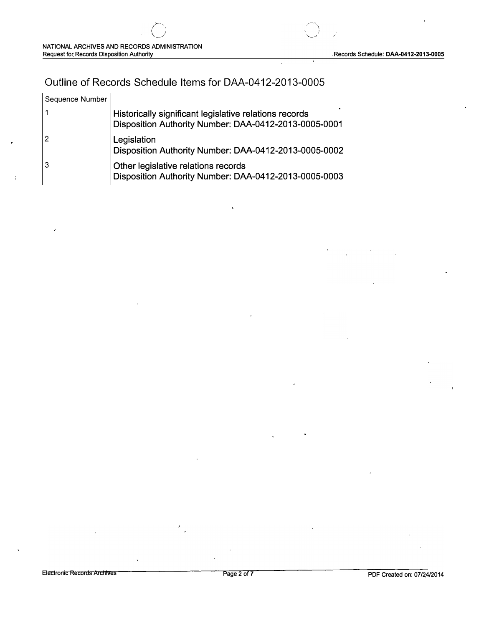## **Outline of Records Schedule Items for DAA-0412-2013-0005**

| Sequence Number |                                                                                                                 |
|-----------------|-----------------------------------------------------------------------------------------------------------------|
|                 | Historically significant legislative relations records<br>Disposition Authority Number: DAA-0412-2013-0005-0001 |
| $\overline{2}$  | Legislation<br>Disposition Authority Number: DAA-0412-2013-0005-0002                                            |
| 3               | Other legislative relations records<br>Disposition Authority Number: DAA-0412-2013-0005-0003                    |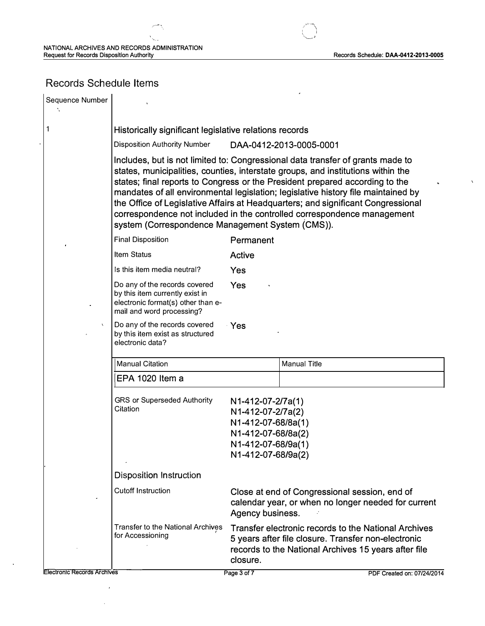$\overline{\mathcal{P}}$ 

 $\bar{\lambda}$ 

## **Records Schedule Items**

| Sequence Number                    |                                                                                                                                                                                                                                                                                                                                                                                                                                                                                                                                                            |                                                                                                                                |                                                                                                                                                                     |
|------------------------------------|------------------------------------------------------------------------------------------------------------------------------------------------------------------------------------------------------------------------------------------------------------------------------------------------------------------------------------------------------------------------------------------------------------------------------------------------------------------------------------------------------------------------------------------------------------|--------------------------------------------------------------------------------------------------------------------------------|---------------------------------------------------------------------------------------------------------------------------------------------------------------------|
| 1                                  | Historically significant legislative relations records                                                                                                                                                                                                                                                                                                                                                                                                                                                                                                     |                                                                                                                                |                                                                                                                                                                     |
|                                    | <b>Disposition Authority Number</b>                                                                                                                                                                                                                                                                                                                                                                                                                                                                                                                        |                                                                                                                                | DAA-0412-2013-0005-0001                                                                                                                                             |
|                                    | Includes, but is not limited to: Congressional data transfer of grants made to<br>states, municipalities, counties, interstate groups, and institutions within the<br>states; final reports to Congress or the President prepared according to the<br>mandates of all environmental legislation; legislative history file maintained by<br>the Office of Legislative Affairs at Headquarters; and significant Congressional<br>correspondence not included in the controlled correspondence management<br>system (Correspondence Management System (CMS)). |                                                                                                                                |                                                                                                                                                                     |
|                                    | <b>Final Disposition</b>                                                                                                                                                                                                                                                                                                                                                                                                                                                                                                                                   | Permanent                                                                                                                      |                                                                                                                                                                     |
|                                    | <b>Item Status</b>                                                                                                                                                                                                                                                                                                                                                                                                                                                                                                                                         | <b>Active</b>                                                                                                                  |                                                                                                                                                                     |
|                                    | Is this item media neutral?                                                                                                                                                                                                                                                                                                                                                                                                                                                                                                                                | Yes                                                                                                                            |                                                                                                                                                                     |
|                                    | Do any of the records covered<br>by this item currently exist in<br>electronic format(s) other than e-<br>mail and word processing?                                                                                                                                                                                                                                                                                                                                                                                                                        | Yes                                                                                                                            |                                                                                                                                                                     |
| $\chi$                             | Do any of the records covered<br>by this item exist as structured<br>electronic data?                                                                                                                                                                                                                                                                                                                                                                                                                                                                      | ∙ Yes                                                                                                                          |                                                                                                                                                                     |
|                                    | <b>Manual Citation</b>                                                                                                                                                                                                                                                                                                                                                                                                                                                                                                                                     |                                                                                                                                | <b>Manual Title</b>                                                                                                                                                 |
|                                    | EPA 1020 Item a                                                                                                                                                                                                                                                                                                                                                                                                                                                                                                                                            |                                                                                                                                |                                                                                                                                                                     |
|                                    | <b>GRS or Superseded Authority</b><br>Citation                                                                                                                                                                                                                                                                                                                                                                                                                                                                                                             | N1-412-07-2/7a(1)<br>N1-412-07-2/7a(2)<br>N1-412-07-68/8a(1)<br>N1-412-07-68/8a(2)<br>N1-412-07-68/9a(1)<br>N1-412-07-68/9a(2) |                                                                                                                                                                     |
|                                    | <b>Disposition Instruction</b>                                                                                                                                                                                                                                                                                                                                                                                                                                                                                                                             |                                                                                                                                |                                                                                                                                                                     |
|                                    | <b>Cutoff Instruction</b>                                                                                                                                                                                                                                                                                                                                                                                                                                                                                                                                  | Agency business.                                                                                                               | Close at end of Congressional session, end of<br>calendar year, or when no longer needed for current                                                                |
|                                    | <b>Transfer to the National Archives</b><br>for Accessioning                                                                                                                                                                                                                                                                                                                                                                                                                                                                                               | closure.                                                                                                                       | Transfer electronic records to the National Archives<br>5 years after file closure. Transfer non-electronic<br>records to the National Archives 15 years after file |
| <b>Electronic Records Archives</b> |                                                                                                                                                                                                                                                                                                                                                                                                                                                                                                                                                            | Page 3 of 7                                                                                                                    | PDF Created on: 07/24/2014                                                                                                                                          |

 $\hat{\boldsymbol{\theta}}$ 

 $\ddot{\phantom{a}}$ 

 $\ddot{\phantom{1}}$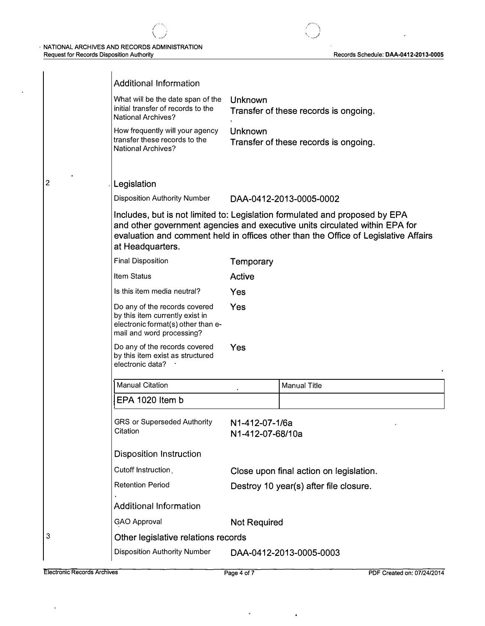*(' ) \ \_ \_*

2

 $\hat{\boldsymbol{\epsilon}}$ 

| <b>Additional Information</b>                                                                                                       |                                    |                                                                                                                                                                                                                                                   |
|-------------------------------------------------------------------------------------------------------------------------------------|------------------------------------|---------------------------------------------------------------------------------------------------------------------------------------------------------------------------------------------------------------------------------------------------|
| What will be the date span of the<br>initial transfer of records to the<br><b>National Archives?</b>                                | Unknown                            | Transfer of these records is ongoing.                                                                                                                                                                                                             |
| How frequently will your agency<br>transfer these records to the<br><b>National Archives?</b>                                       | Unknown                            | Transfer of these records is ongoing.                                                                                                                                                                                                             |
| Legislation                                                                                                                         |                                    |                                                                                                                                                                                                                                                   |
| <b>Disposition Authority Number</b>                                                                                                 |                                    | DAA-0412-2013-0005-0002                                                                                                                                                                                                                           |
| at Headquarters.                                                                                                                    |                                    | Includes, but is not limited to: Legislation formulated and proposed by EPA<br>and other government agencies and executive units circulated within EPA for<br>evaluation and comment held in offices other than the Office of Legislative Affairs |
| <b>Final Disposition</b>                                                                                                            | Temporary                          |                                                                                                                                                                                                                                                   |
| <b>Item Status</b>                                                                                                                  | Active                             |                                                                                                                                                                                                                                                   |
| Is this item media neutral?                                                                                                         | Yes                                |                                                                                                                                                                                                                                                   |
| Do any of the records covered<br>by this item currently exist in<br>electronic format(s) other than e-<br>mail and word processing? | Yes                                |                                                                                                                                                                                                                                                   |
| Do any of the records covered<br>by this item exist as structured<br>electronic data?                                               | Yes                                |                                                                                                                                                                                                                                                   |
| <b>Manual Citation</b>                                                                                                              |                                    | <b>Manual Title</b>                                                                                                                                                                                                                               |
| EPA 1020 Item b                                                                                                                     |                                    |                                                                                                                                                                                                                                                   |
| <b>GRS or Superseded Authority</b><br>Citation                                                                                      | N1-412-07-1/6a<br>N1-412-07-68/10a |                                                                                                                                                                                                                                                   |
| <b>Disposition Instruction</b>                                                                                                      |                                    |                                                                                                                                                                                                                                                   |
| Cutoff Instruction,                                                                                                                 |                                    | Close upon final action on legislation.                                                                                                                                                                                                           |
| <b>Retention Period</b>                                                                                                             |                                    | Destroy 10 year(s) after file closure.                                                                                                                                                                                                            |
| <b>Additional Information</b>                                                                                                       |                                    |                                                                                                                                                                                                                                                   |
| GAO Approval                                                                                                                        | Not Required                       |                                                                                                                                                                                                                                                   |
| Other legislative relations records                                                                                                 |                                    |                                                                                                                                                                                                                                                   |
| <b>Disposition Authority Number</b>                                                                                                 |                                    | DAA-0412-2013-0005-0003                                                                                                                                                                                                                           |
|                                                                                                                                     |                                    |                                                                                                                                                                                                                                                   |

3

 $\ddot{\phantom{1}}$ 

 $\overline{\phantom{a}}$ 

 $\mathcal{L}^{\text{max}}$  .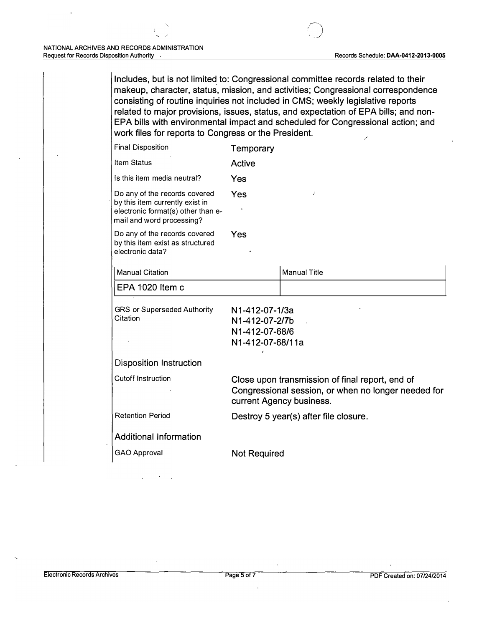Includes, but is not limited to: Congressional committee records related to their makeup, character, status, mission, and activities; Congressional correspondence consisting of routine inquiries not included in CMS; weekly legislative reports related to major provisions, issues, status, and expectation of EPA bills; and non-EPA bills with environmental impact and scheduled for Congressional action; and work files for reports to Congress or the President.

|                                                                                                                                     | Temporary                                                                                                                          |                     |  |
|-------------------------------------------------------------------------------------------------------------------------------------|------------------------------------------------------------------------------------------------------------------------------------|---------------------|--|
| <b>Item Status</b>                                                                                                                  | Active                                                                                                                             |                     |  |
| Is this item media neutral?                                                                                                         | Yes                                                                                                                                |                     |  |
| Do any of the records covered<br>by this item currently exist in<br>electronic format(s) other than e-<br>mail and word processing? | Yes<br>$\lambda$                                                                                                                   |                     |  |
| Do any of the records covered<br>by this item exist as structured<br>electronic data?                                               | Yes                                                                                                                                |                     |  |
| <b>Manual Citation</b>                                                                                                              |                                                                                                                                    | <b>Manual Title</b> |  |
| EPA 1020 Item c                                                                                                                     |                                                                                                                                    |                     |  |
| <b>GRS or Superseded Authority</b><br>Citation                                                                                      | N1-412-07-1/3a<br>N1-412-07-2/7b<br>N1-412-07-68/6<br>N1-412-07-68/11a                                                             |                     |  |
| <b>Disposition Instruction</b>                                                                                                      |                                                                                                                                    |                     |  |
| <b>Cutoff Instruction</b>                                                                                                           | Close upon transmission of final report, end of<br>Congressional session, or when no longer needed for<br>current Agency business. |                     |  |
| <b>Retention Period</b>                                                                                                             | Destroy 5 year(s) after file closure.                                                                                              |                     |  |
| <b>Additional Information</b>                                                                                                       |                                                                                                                                    |                     |  |
| <b>GAO Approval</b>                                                                                                                 | <b>Not Required</b>                                                                                                                |                     |  |
|                                                                                                                                     | <b>Final Disposition</b>                                                                                                           |                     |  |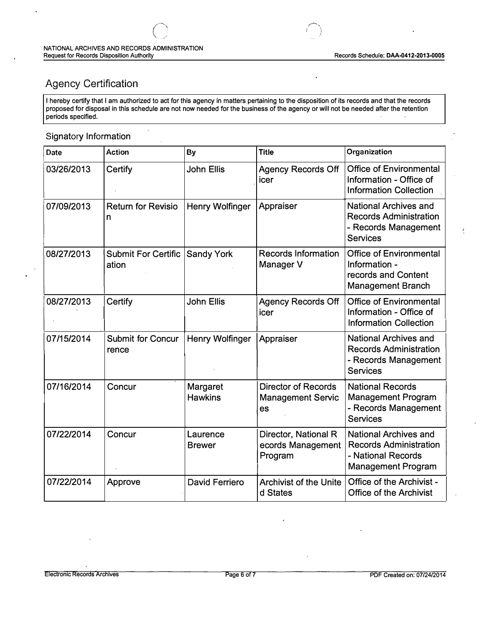ì

 $\ddot{\phantom{1}}$ 

# **Agency Certification**

I hereby certify that I am authorized to act for this agency in matters pertaining to the disposition of its records and that the records proposed for disposal in this schedule are not now needed for the business of the agency or will not be needed after the retention periods specified.

#### Signatory Information

| Date       | <b>Action</b>                       | By                         | <b>Title</b>                                                 | Organization                                                                                                     |
|------------|-------------------------------------|----------------------------|--------------------------------------------------------------|------------------------------------------------------------------------------------------------------------------|
| 03/26/2013 | Certify                             | <b>John Ellis</b>          | <b>Agency Records Off</b><br>icer                            | <b>Office of Environmental</b><br>Information - Office of<br><b>Information Collection</b>                       |
| 07/09/2013 | <b>Return for Revisio</b><br>n      | <b>Henry Wolfinger</b>     | Appraiser                                                    | <b>National Archives and</b><br><b>Records Administration</b><br>- Records Management<br><b>Services</b>         |
| 08/27/2013 | <b>Submit For Certific</b><br>ation | <b>Sandy York</b>          | <b>Records Information</b><br>Manager V                      | <b>Office of Environmental</b><br>Information -<br>records and Content<br><b>Management Branch</b>               |
| 08/27/2013 | Certify                             | <b>John Ellis</b>          | <b>Agency Records Off</b><br>icer                            | <b>Office of Environmental</b><br>Information - Office of<br><b>Information Collection</b>                       |
| 07/15/2014 | <b>Submit for Concur</b><br>rence   | Henry Wolfinger            | Appraiser                                                    | <b>National Archives and</b><br><b>Records Administration</b><br>- Records Management<br><b>Services</b>         |
| 07/16/2014 | Concur                              | Margaret<br><b>Hawkins</b> | <b>Director of Records</b><br><b>Management Servic</b><br>es | <b>National Records</b><br><b>Management Program</b><br>- Records Management<br><b>Services</b>                  |
| 07/22/2014 | Concur                              | Laurence<br><b>Brewer</b>  | Director, National R<br>ecords Management<br>Program         | <b>National Archives and</b><br><b>Records Administration</b><br>- National Records<br><b>Management Program</b> |
| 07/22/2014 | Approve                             | David Ferriero             | <b>Archivist of the Unite</b><br>d States                    | Office of the Archivist -<br><b>Office of the Archivist</b>                                                      |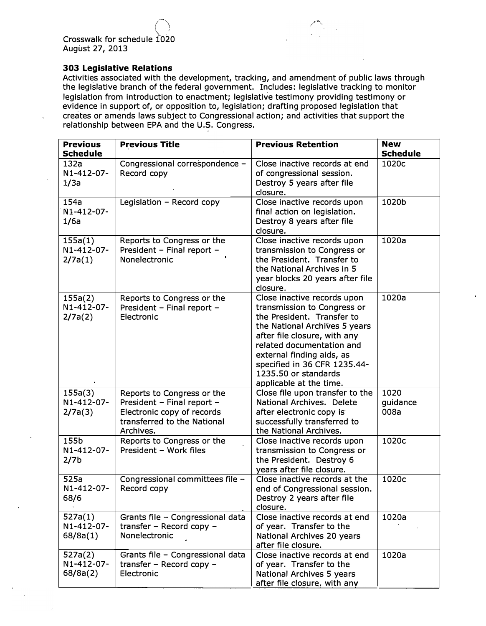*\, I*  **Crosswalk for schedule 1020 August 27, 2013** 

*(-'i* 

#### **303 Legislative Relations**

**Activities. associated with the development, tracking, and amendment of public laws through the legislative branch of the federal government. Includes: legislative tracking to monitor legislation from introduction to enactment; legislative testimony providing testimony or evidence in support of, or opposition to, legislation; drafting proposed legislation that creates or amends laws subject to Congressional action; and activities that support the relationship between EPA and the U.S. Congress.** 

| <b>Previous</b><br><b>Schedule</b>     | <b>Previous Title</b>                                                                                                              | <b>Previous Retention</b>                                                                                                                                                                                                                                                                              | <b>New</b><br><b>Schedule</b> |
|----------------------------------------|------------------------------------------------------------------------------------------------------------------------------------|--------------------------------------------------------------------------------------------------------------------------------------------------------------------------------------------------------------------------------------------------------------------------------------------------------|-------------------------------|
| 132a<br>N1-412-07-<br>1/3a             | Congressional correspondence -<br>Record copy                                                                                      | Close inactive records at end<br>of congressional session.<br>Destroy 5 years after file<br>closure.                                                                                                                                                                                                   | 1020c                         |
| 154a<br>N1-412-07-<br>1/6a             | Legislation - Record copy                                                                                                          | Close inactive records upon<br>final action on legislation.<br>Destroy 8 years after file<br>closure.                                                                                                                                                                                                  | 1020b                         |
| 155a(1)<br>N1-412-07-<br>2/7a(1)       | Reports to Congress or the<br>President - Final report -<br>Nonelectronic                                                          | Close inactive records upon<br>transmission to Congress or<br>the President. Transfer to<br>the National Archives in 5<br>year blocks 20 years after file<br>closure.                                                                                                                                  | 1020a                         |
| 155a(2)<br>N1-412-07-<br>2/7a(2)       | Reports to Congress or the<br>President - Final report -<br>Electronic                                                             | Close inactive records upon<br>transmission to Congress or<br>the President, Transfer to<br>the National Archives 5 years<br>after file closure, with any<br>related documentation and<br>external finding aids, as<br>specified in 36 CFR 1235.44-<br>1235.50 or standards<br>applicable at the time. | 1020a                         |
| 155a(3)<br>N1-412-07-<br>2/7a(3)       | Reports to Congress or the<br>President - Final report -<br>Electronic copy of records<br>transferred to the National<br>Archives. | Close file upon transfer to the<br>National Archives. Delete<br>after electronic copy is<br>successfully transferred to<br>the National Archives.                                                                                                                                                      | 1020<br>guidance<br>008a      |
| 155b<br>N1-412-07-<br>2/7 <sub>b</sub> | Reports to Congress or the<br>President - Work files                                                                               | Close inactive records upon<br>transmission to Congress or<br>the President. Destroy 6<br>years after file closure.                                                                                                                                                                                    | 1020c                         |
| 525a<br>N1-412-07-<br>68/6             | Congressional committees file -<br>Record copy                                                                                     | Close inactive records at the<br>end of Congressional session.<br>Destroy 2 years after file<br>closure.                                                                                                                                                                                               | 1020c                         |
| 527a(1)<br>N1-412-07-<br>68/8a(1)      | Grants file - Congressional data<br>transfer – Record copy –<br>Nonelectronic                                                      | Close inactive records at end<br>of year. Transfer to the<br>National Archives 20 years<br>after file closure.                                                                                                                                                                                         | 1020a                         |
| 527a(2)<br>N1-412-07-<br>68/8a(2)      | Grants file - Congressional data<br>transfer - Record copy -<br>Electronic                                                         | Close inactive records at end<br>of year. Transfer to the<br>National Archives 5 years<br>after file closure, with any                                                                                                                                                                                 | 1020a                         |